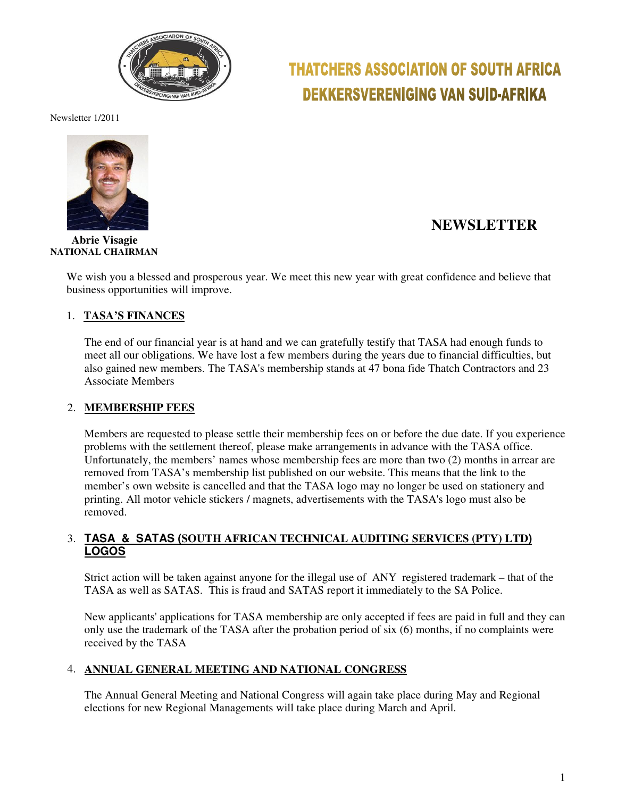

# **THATCHERS ASSOCIATION OF SOUTH AFRICA DEKKERSVERENIGING VAN SUID-AFRIKA**

Newsletter 1/2011



 **Abrie Visagie NATIONAL CHAIRMAN** 

### **NEWSLETTER**

We wish you a blessed and prosperous year. We meet this new year with great confidence and believe that business opportunities will improve.

### 1. **TASA'S FINANCES**

The end of our financial year is at hand and we can gratefully testify that TASA had enough funds to meet all our obligations. We have lost a few members during the years due to financial difficulties, but also gained new members. The TASA's membership stands at 47 bona fide Thatch Contractors and 23 Associate Members

### 2. **MEMBERSHIP FEES**

Members are requested to please settle their membership fees on or before the due date. If you experience problems with the settlement thereof, please make arrangements in advance with the TASA office. Unfortunately, the members' names whose membership fees are more than two (2) months in arrear are removed from TASA's membership list published on our website. This means that the link to the member's own website is cancelled and that the TASA logo may no longer be used on stationery and printing. All motor vehicle stickers / magnets, advertisements with the TASA's logo must also be removed.

### 3. **TASA & SATAS (SOUTH AFRICAN TECHNICAL AUDITING SERVICES (PTY) LTD) LOGOS**

Strict action will be taken against anyone for the illegal use of ANY registered trademark – that of the TASA as well as SATAS. This is fraud and SATAS report it immediately to the SA Police.

New applicants' applications for TASA membership are only accepted if fees are paid in full and they can only use the trademark of the TASA after the probation period of six (6) months, if no complaints were received by the TASA

### 4. **ANNUAL GENERAL MEETING AND NATIONAL CONGRESS**

The Annual General Meeting and National Congress will again take place during May and Regional elections for new Regional Managements will take place during March and April.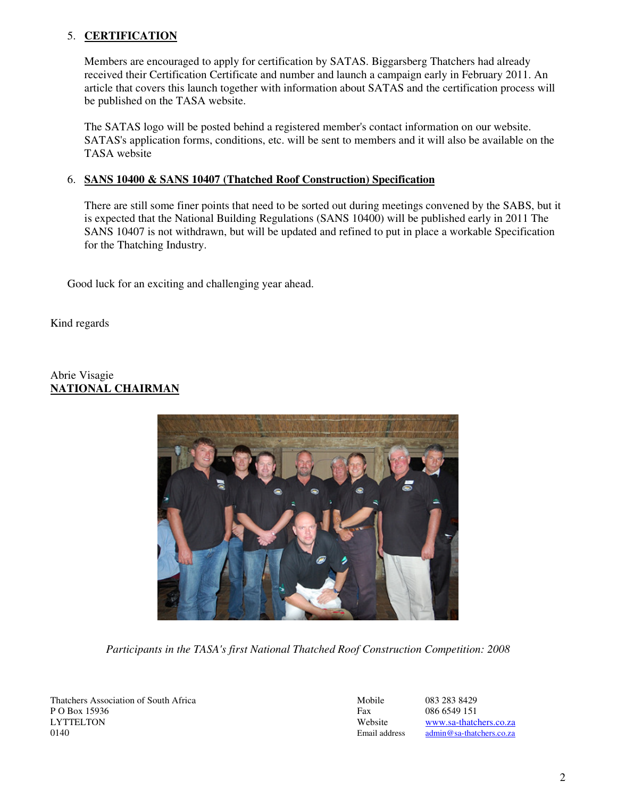### 5. **CERTIFICATION**

Members are encouraged to apply for certification by SATAS. Biggarsberg Thatchers had already received their Certification Certificate and number and launch a campaign early in February 2011. An article that covers this launch together with information about SATAS and the certification process will be published on the TASA website.

The SATAS logo will be posted behind a registered member's contact information on our website. SATAS's application forms, conditions, etc. will be sent to members and it will also be available on the TASA website

### 6. **SANS 10400 & SANS 10407 (Thatched Roof Construction) Specification**

There are still some finer points that need to be sorted out during meetings convened by the SABS, but it is expected that the National Building Regulations (SANS 10400) will be published early in 2011 The SANS 10407 is not withdrawn, but will be updated and refined to put in place a workable Specification for the Thatching Industry.

Good luck for an exciting and challenging year ahead.

Kind regards

### Abrie Visagie **NATIONAL CHAIRMAN**



*Participants in the TASA's first National Thatched Roof Construction Competition: 2008* 

Thatchers Association of South Africa Mobile 083 283 8429<br>P O Box 15936 6549 151 P O Box 15936 Fax 086 6549 151<br>
LYTTELTON Website www.sa-thatcl 0140 Email address admin@sa-thatchers.co.za

Website www.sa-thatchers.co.za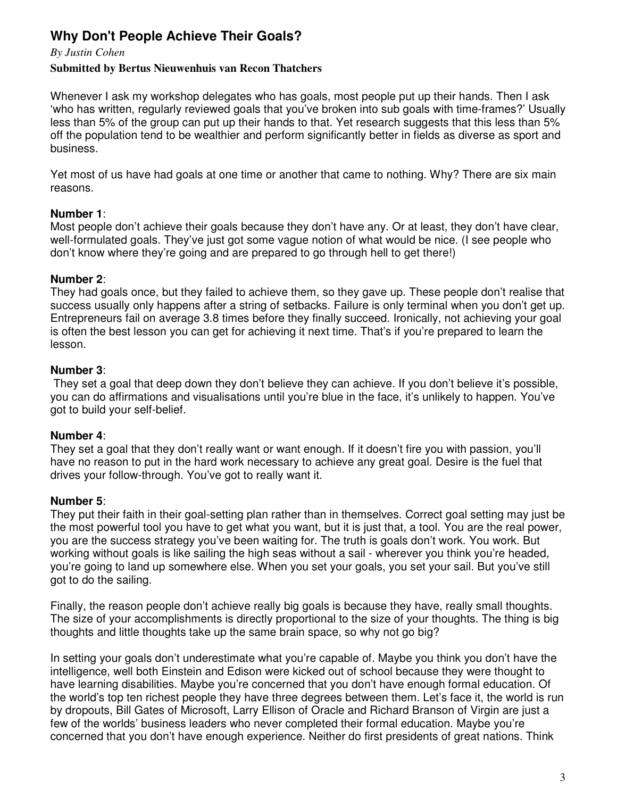## **Why Don't People Achieve Their Goals?**

### *By Justin Cohen*

### **Submitted by Bertus Nieuwenhuis van Recon Thatchers**

Whenever I ask my workshop delegates who has goals, most people put up their hands. Then I ask 'who has written, regularly reviewed goals that you've broken into sub goals with time-frames?' Usually less than 5% of the group can put up their hands to that. Yet research suggests that this less than 5% off the population tend to be wealthier and perform significantly better in fields as diverse as sport and business.

Yet most of us have had goals at one time or another that came to nothing. Why? There are six main reasons.

### **Number 1**:

Most people don't achieve their goals because they don't have any. Or at least, they don't have clear, well-formulated goals. They've just got some vague notion of what would be nice. (I see people who don't know where they're going and are prepared to go through hell to get there!)

### **Number 2**:

They had goals once, but they failed to achieve them, so they gave up. These people don't realise that success usually only happens after a string of setbacks. Failure is only terminal when you don't get up. Entrepreneurs fail on average 3.8 times before they finally succeed. Ironically, not achieving your goal is often the best lesson you can get for achieving it next time. That's if you're prepared to learn the lesson.

### **Number 3**:

 They set a goal that deep down they don't believe they can achieve. If you don't believe it's possible, you can do affirmations and visualisations until you're blue in the face, it's unlikely to happen. You've got to build your self-belief.

### **Number 4**:

They set a goal that they don't really want or want enough. If it doesn't fire you with passion, you'll have no reason to put in the hard work necessary to achieve any great goal. Desire is the fuel that drives your follow-through. You've got to really want it.

### **Number 5**:

They put their faith in their goal-setting plan rather than in themselves. Correct goal setting may just be the most powerful tool you have to get what you want, but it is just that, a tool. You are the real power, you are the success strategy you've been waiting for. The truth is goals don't work. You work. But working without goals is like sailing the high seas without a sail - wherever you think you're headed, you're going to land up somewhere else. When you set your goals, you set your sail. But you've still got to do the sailing.

Finally, the reason people don't achieve really big goals is because they have, really small thoughts. The size of your accomplishments is directly proportional to the size of your thoughts. The thing is big thoughts and little thoughts take up the same brain space, so why not go big?

In setting your goals don't underestimate what you're capable of. Maybe you think you don't have the intelligence, well both Einstein and Edison were kicked out of school because they were thought to have learning disabilities. Maybe you're concerned that you don't have enough formal education. Of the world's top ten richest people they have three degrees between them. Let's face it, the world is run by dropouts, Bill Gates of Microsoft, Larry Ellison of Oracle and Richard Branson of Virgin are just a few of the worlds' business leaders who never completed their formal education. Maybe you're concerned that you don't have enough experience. Neither do first presidents of great nations. Think